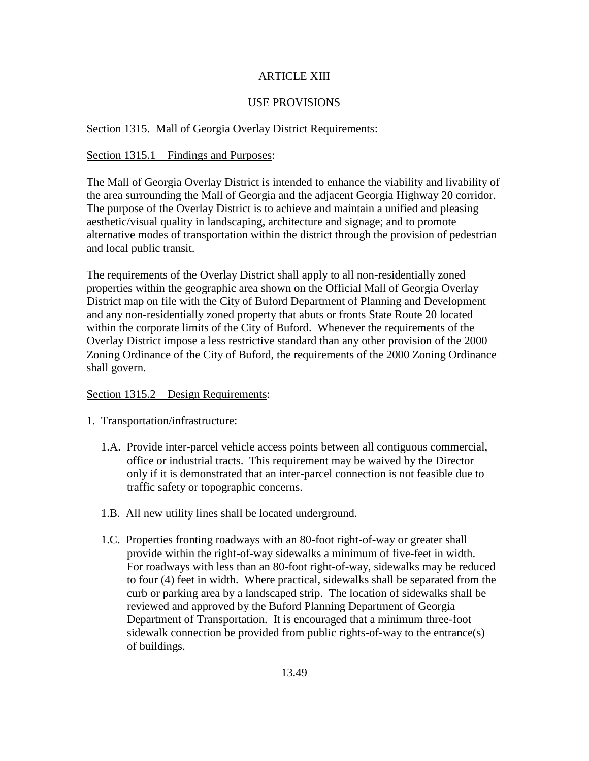# ARTICLE XIII

## USE PROVISIONS

## Section 1315. Mall of Georgia Overlay District Requirements:

## Section 1315.1 – Findings and Purposes:

The Mall of Georgia Overlay District is intended to enhance the viability and livability of the area surrounding the Mall of Georgia and the adjacent Georgia Highway 20 corridor. The purpose of the Overlay District is to achieve and maintain a unified and pleasing aesthetic/visual quality in landscaping, architecture and signage; and to promote alternative modes of transportation within the district through the provision of pedestrian and local public transit.

The requirements of the Overlay District shall apply to all non-residentially zoned properties within the geographic area shown on the Official Mall of Georgia Overlay District map on file with the City of Buford Department of Planning and Development and any non-residentially zoned property that abuts or fronts State Route 20 located within the corporate limits of the City of Buford. Whenever the requirements of the Overlay District impose a less restrictive standard than any other provision of the 2000 Zoning Ordinance of the City of Buford, the requirements of the 2000 Zoning Ordinance shall govern.

## Section 1315.2 – Design Requirements:

## 1. Transportation/infrastructure:

- 1.A. Provide inter-parcel vehicle access points between all contiguous commercial, office or industrial tracts. This requirement may be waived by the Director only if it is demonstrated that an inter-parcel connection is not feasible due to traffic safety or topographic concerns.
- 1.B. All new utility lines shall be located underground.
- 1.C. Properties fronting roadways with an 80-foot right-of-way or greater shall provide within the right-of-way sidewalks a minimum of five-feet in width. For roadways with less than an 80-foot right-of-way, sidewalks may be reduced to four (4) feet in width. Where practical, sidewalks shall be separated from the curb or parking area by a landscaped strip. The location of sidewalks shall be reviewed and approved by the Buford Planning Department of Georgia Department of Transportation. It is encouraged that a minimum three-foot sidewalk connection be provided from public rights-of-way to the entrance(s) of buildings.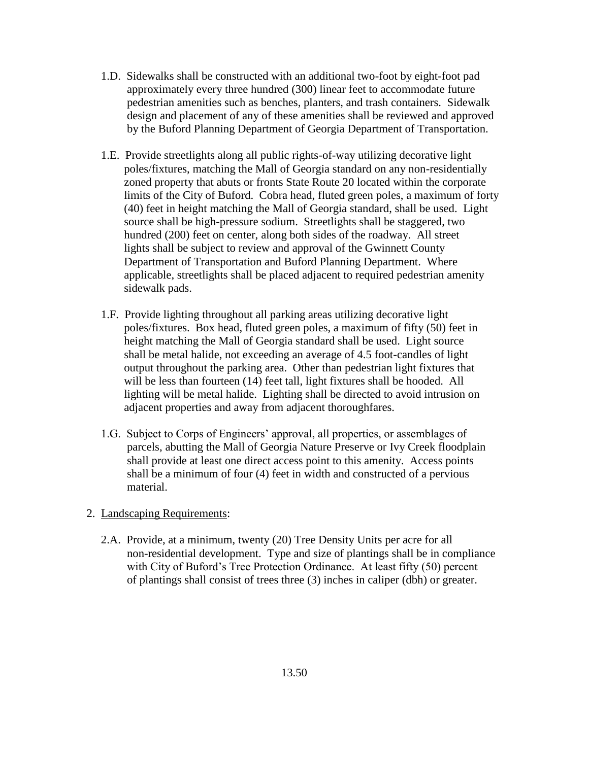- 1.D. Sidewalks shall be constructed with an additional two-foot by eight-foot pad approximately every three hundred (300) linear feet to accommodate future pedestrian amenities such as benches, planters, and trash containers. Sidewalk design and placement of any of these amenities shall be reviewed and approved by the Buford Planning Department of Georgia Department of Transportation.
- 1.E. Provide streetlights along all public rights-of-way utilizing decorative light poles/fixtures, matching the Mall of Georgia standard on any non-residentially zoned property that abuts or fronts State Route 20 located within the corporate limits of the City of Buford. Cobra head, fluted green poles, a maximum of forty (40) feet in height matching the Mall of Georgia standard, shall be used. Light source shall be high-pressure sodium. Streetlights shall be staggered, two hundred (200) feet on center, along both sides of the roadway. All street lights shall be subject to review and approval of the Gwinnett County Department of Transportation and Buford Planning Department. Where applicable, streetlights shall be placed adjacent to required pedestrian amenity sidewalk pads.
- 1.F. Provide lighting throughout all parking areas utilizing decorative light poles/fixtures. Box head, fluted green poles, a maximum of fifty (50) feet in height matching the Mall of Georgia standard shall be used. Light source shall be metal halide, not exceeding an average of 4.5 foot-candles of light output throughout the parking area. Other than pedestrian light fixtures that will be less than fourteen (14) feet tall, light fixtures shall be hooded. All lighting will be metal halide. Lighting shall be directed to avoid intrusion on adjacent properties and away from adjacent thoroughfares.
- 1.G. Subject to Corps of Engineers' approval, all properties, or assemblages of parcels, abutting the Mall of Georgia Nature Preserve or Ivy Creek floodplain shall provide at least one direct access point to this amenity. Access points shall be a minimum of four (4) feet in width and constructed of a pervious material.
- 2. Landscaping Requirements:
	- 2.A. Provide, at a minimum, twenty (20) Tree Density Units per acre for all non-residential development. Type and size of plantings shall be in compliance with City of Buford's Tree Protection Ordinance. At least fifty (50) percent of plantings shall consist of trees three (3) inches in caliper (dbh) or greater.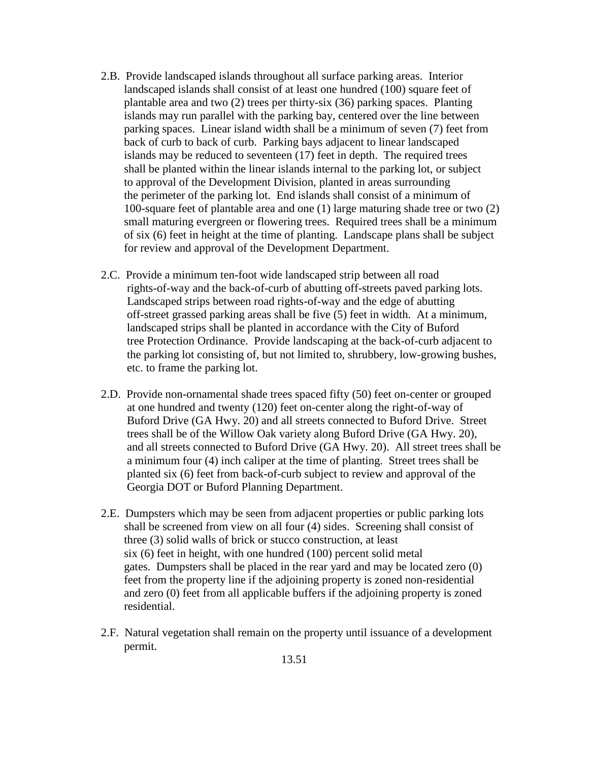- 2.B. Provide landscaped islands throughout all surface parking areas. Interior landscaped islands shall consist of at least one hundred (100) square feet of plantable area and two (2) trees per thirty-six (36) parking spaces. Planting islands may run parallel with the parking bay, centered over the line between parking spaces. Linear island width shall be a minimum of seven (7) feet from back of curb to back of curb. Parking bays adjacent to linear landscaped islands may be reduced to seventeen (17) feet in depth. The required trees shall be planted within the linear islands internal to the parking lot, or subject to approval of the Development Division, planted in areas surrounding the perimeter of the parking lot. End islands shall consist of a minimum of 100-square feet of plantable area and one (1) large maturing shade tree or two (2) small maturing evergreen or flowering trees. Required trees shall be a minimum of six (6) feet in height at the time of planting. Landscape plans shall be subject for review and approval of the Development Department.
- 2.C. Provide a minimum ten-foot wide landscaped strip between all road rights-of-way and the back-of-curb of abutting off-streets paved parking lots. Landscaped strips between road rights-of-way and the edge of abutting off-street grassed parking areas shall be five (5) feet in width. At a minimum, landscaped strips shall be planted in accordance with the City of Buford tree Protection Ordinance. Provide landscaping at the back-of-curb adjacent to the parking lot consisting of, but not limited to, shrubbery, low-growing bushes, etc. to frame the parking lot.
- 2.D. Provide non-ornamental shade trees spaced fifty (50) feet on-center or grouped at one hundred and twenty (120) feet on-center along the right-of-way of Buford Drive (GA Hwy. 20) and all streets connected to Buford Drive. Street trees shall be of the Willow Oak variety along Buford Drive (GA Hwy. 20), and all streets connected to Buford Drive (GA Hwy. 20). All street trees shall be a minimum four (4) inch caliper at the time of planting. Street trees shall be planted six (6) feet from back-of-curb subject to review and approval of the Georgia DOT or Buford Planning Department.
- 2.E. Dumpsters which may be seen from adjacent properties or public parking lots shall be screened from view on all four (4) sides. Screening shall consist of three (3) solid walls of brick or stucco construction, at least six (6) feet in height, with one hundred (100) percent solid metal gates. Dumpsters shall be placed in the rear yard and may be located zero (0) feet from the property line if the adjoining property is zoned non-residential and zero (0) feet from all applicable buffers if the adjoining property is zoned residential.
- 2.F. Natural vegetation shall remain on the property until issuance of a development permit.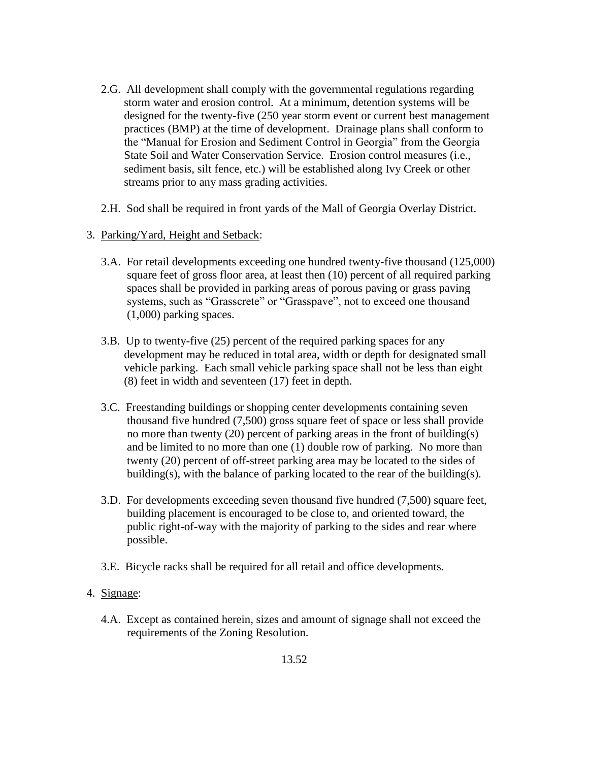- 2.G. All development shall comply with the governmental regulations regarding storm water and erosion control. At a minimum, detention systems will be designed for the twenty-five (250 year storm event or current best management practices (BMP) at the time of development. Drainage plans shall conform to the "Manual for Erosion and Sediment Control in Georgia" from the Georgia State Soil and Water Conservation Service. Erosion control measures (i.e., sediment basis, silt fence, etc.) will be established along Ivy Creek or other streams prior to any mass grading activities.
- 2.H. Sod shall be required in front yards of the Mall of Georgia Overlay District.
- 3. Parking/Yard, Height and Setback:
	- 3.A. For retail developments exceeding one hundred twenty-five thousand (125,000) square feet of gross floor area, at least then (10) percent of all required parking spaces shall be provided in parking areas of porous paving or grass paving systems, such as "Grasscrete" or "Grasspave", not to exceed one thousand (1,000) parking spaces.
	- 3.B. Up to twenty-five (25) percent of the required parking spaces for any development may be reduced in total area, width or depth for designated small vehicle parking. Each small vehicle parking space shall not be less than eight (8) feet in width and seventeen (17) feet in depth.
	- 3.C. Freestanding buildings or shopping center developments containing seven thousand five hundred (7,500) gross square feet of space or less shall provide no more than twenty (20) percent of parking areas in the front of building(s) and be limited to no more than one (1) double row of parking. No more than twenty (20) percent of off-street parking area may be located to the sides of building(s), with the balance of parking located to the rear of the building(s).
	- 3.D. For developments exceeding seven thousand five hundred (7,500) square feet, building placement is encouraged to be close to, and oriented toward, the public right-of-way with the majority of parking to the sides and rear where possible.
	- 3.E. Bicycle racks shall be required for all retail and office developments.

# 4. Signage:

 4.A. Except as contained herein, sizes and amount of signage shall not exceed the requirements of the Zoning Resolution.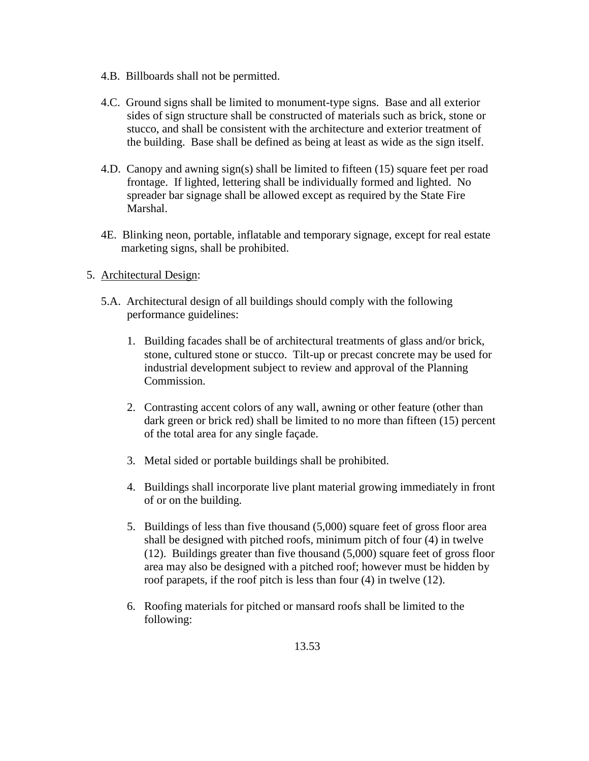- 4.B. Billboards shall not be permitted.
- 4.C. Ground signs shall be limited to monument-type signs. Base and all exterior sides of sign structure shall be constructed of materials such as brick, stone or stucco, and shall be consistent with the architecture and exterior treatment of the building. Base shall be defined as being at least as wide as the sign itself.
- 4.D. Canopy and awning sign(s) shall be limited to fifteen (15) square feet per road frontage. If lighted, lettering shall be individually formed and lighted. No spreader bar signage shall be allowed except as required by the State Fire Marshal.
- 4E. Blinking neon, portable, inflatable and temporary signage, except for real estate marketing signs, shall be prohibited.

## 5. Architectural Design:

- 5.A. Architectural design of all buildings should comply with the following performance guidelines:
	- 1. Building facades shall be of architectural treatments of glass and/or brick, stone, cultured stone or stucco. Tilt-up or precast concrete may be used for industrial development subject to review and approval of the Planning Commission.
	- 2. Contrasting accent colors of any wall, awning or other feature (other than dark green or brick red) shall be limited to no more than fifteen (15) percent of the total area for any single façade.
	- 3. Metal sided or portable buildings shall be prohibited.
	- 4. Buildings shall incorporate live plant material growing immediately in front of or on the building.
	- 5. Buildings of less than five thousand (5,000) square feet of gross floor area shall be designed with pitched roofs, minimum pitch of four (4) in twelve (12). Buildings greater than five thousand (5,000) square feet of gross floor area may also be designed with a pitched roof; however must be hidden by roof parapets, if the roof pitch is less than four (4) in twelve (12).
	- 6. Roofing materials for pitched or mansard roofs shall be limited to the following: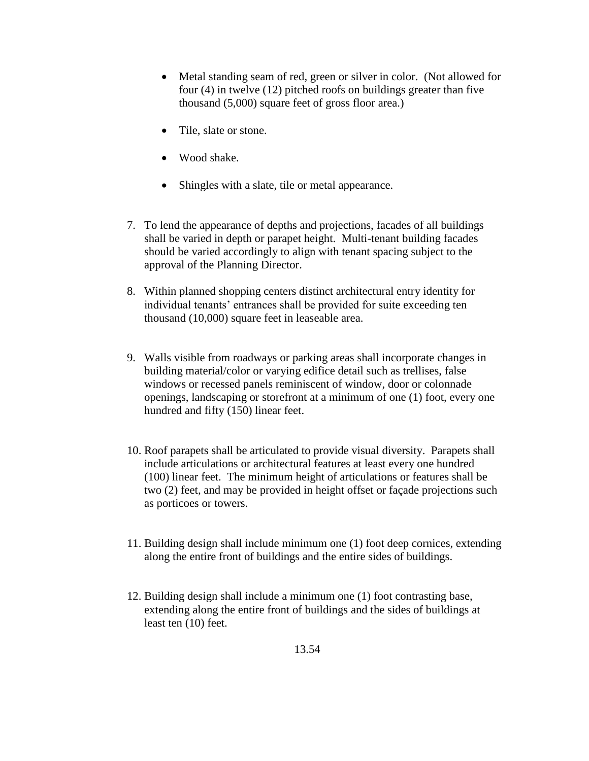- Metal standing seam of red, green or silver in color. (Not allowed for four (4) in twelve (12) pitched roofs on buildings greater than five thousand (5,000) square feet of gross floor area.)
- Tile, slate or stone.
- Wood shake.
- Shingles with a slate, tile or metal appearance.
- 7. To lend the appearance of depths and projections, facades of all buildings shall be varied in depth or parapet height. Multi-tenant building facades should be varied accordingly to align with tenant spacing subject to the approval of the Planning Director.
- 8. Within planned shopping centers distinct architectural entry identity for individual tenants' entrances shall be provided for suite exceeding ten thousand (10,000) square feet in leaseable area.
- 9. Walls visible from roadways or parking areas shall incorporate changes in building material/color or varying edifice detail such as trellises, false windows or recessed panels reminiscent of window, door or colonnade openings, landscaping or storefront at a minimum of one (1) foot, every one hundred and fifty (150) linear feet.
- 10. Roof parapets shall be articulated to provide visual diversity. Parapets shall include articulations or architectural features at least every one hundred (100) linear feet. The minimum height of articulations or features shall be two (2) feet, and may be provided in height offset or façade projections such as porticoes or towers.
- 11. Building design shall include minimum one (1) foot deep cornices, extending along the entire front of buildings and the entire sides of buildings.
- 12. Building design shall include a minimum one (1) foot contrasting base, extending along the entire front of buildings and the sides of buildings at least ten (10) feet.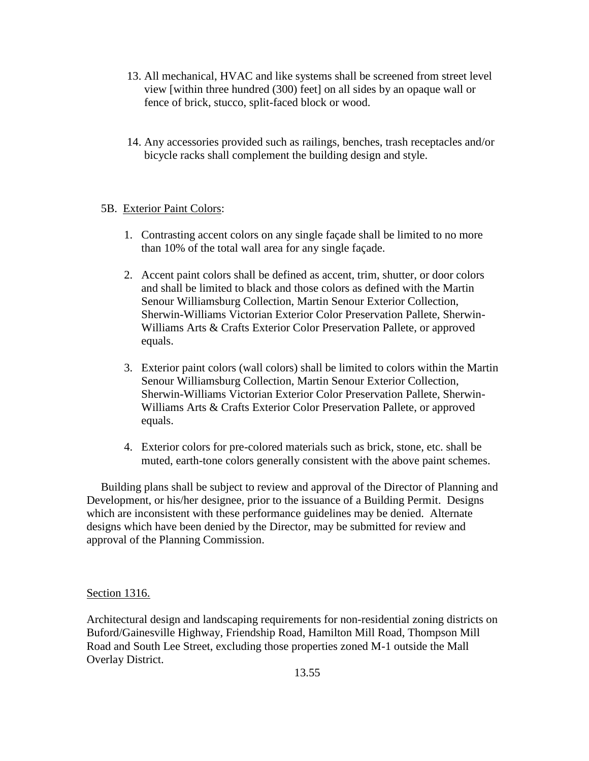- 13. All mechanical, HVAC and like systems shall be screened from street level view [within three hundred (300) feet] on all sides by an opaque wall or fence of brick, stucco, split-faced block or wood.
- 14. Any accessories provided such as railings, benches, trash receptacles and/or bicycle racks shall complement the building design and style.

## 5B. Exterior Paint Colors:

- 1. Contrasting accent colors on any single façade shall be limited to no more than 10% of the total wall area for any single façade.
- 2. Accent paint colors shall be defined as accent, trim, shutter, or door colors and shall be limited to black and those colors as defined with the Martin Senour Williamsburg Collection, Martin Senour Exterior Collection, Sherwin-Williams Victorian Exterior Color Preservation Pallete, Sherwin-Williams Arts & Crafts Exterior Color Preservation Pallete, or approved equals.
- 3. Exterior paint colors (wall colors) shall be limited to colors within the Martin Senour Williamsburg Collection, Martin Senour Exterior Collection, Sherwin-Williams Victorian Exterior Color Preservation Pallete, Sherwin-Williams Arts & Crafts Exterior Color Preservation Pallete, or approved equals.
- 4. Exterior colors for pre-colored materials such as brick, stone, etc. shall be muted, earth-tone colors generally consistent with the above paint schemes.

 Building plans shall be subject to review and approval of the Director of Planning and Development, or his/her designee, prior to the issuance of a Building Permit. Designs which are inconsistent with these performance guidelines may be denied. Alternate designs which have been denied by the Director, may be submitted for review and approval of the Planning Commission.

## Section 1316.

Architectural design and landscaping requirements for non-residential zoning districts on Buford/Gainesville Highway, Friendship Road, Hamilton Mill Road, Thompson Mill Road and South Lee Street, excluding those properties zoned M-1 outside the Mall Overlay District.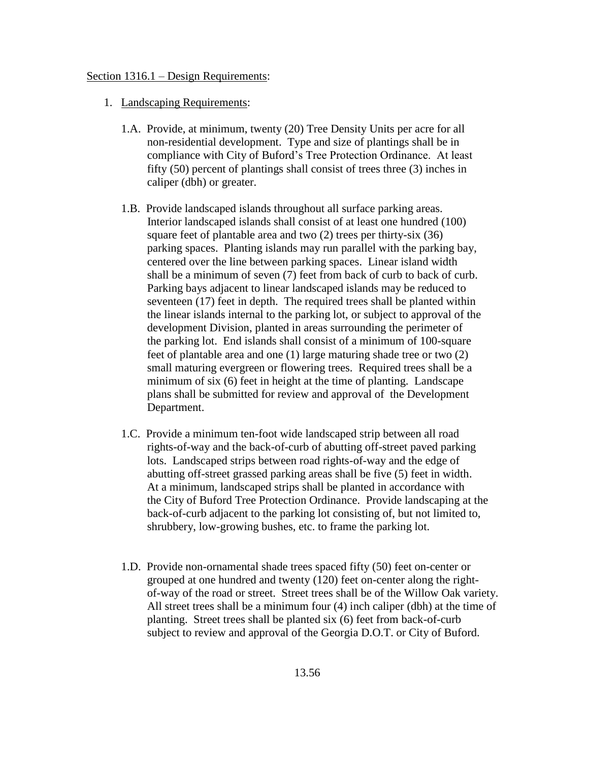#### Section 1316.1 – Design Requirements:

- 1. Landscaping Requirements:
	- 1.A. Provide, at minimum, twenty (20) Tree Density Units per acre for all non-residential development. Type and size of plantings shall be in compliance with City of Buford's Tree Protection Ordinance. At least fifty (50) percent of plantings shall consist of trees three (3) inches in caliper (dbh) or greater.
	- 1.B. Provide landscaped islands throughout all surface parking areas. Interior landscaped islands shall consist of at least one hundred (100) square feet of plantable area and two (2) trees per thirty-six (36) parking spaces. Planting islands may run parallel with the parking bay, centered over the line between parking spaces. Linear island width shall be a minimum of seven (7) feet from back of curb to back of curb. Parking bays adjacent to linear landscaped islands may be reduced to seventeen (17) feet in depth. The required trees shall be planted within the linear islands internal to the parking lot, or subject to approval of the development Division, planted in areas surrounding the perimeter of the parking lot. End islands shall consist of a minimum of 100-square feet of plantable area and one (1) large maturing shade tree or two (2) small maturing evergreen or flowering trees. Required trees shall be a minimum of six (6) feet in height at the time of planting. Landscape plans shall be submitted for review and approval of the Development Department.
	- 1.C. Provide a minimum ten-foot wide landscaped strip between all road rights-of-way and the back-of-curb of abutting off-street paved parking lots. Landscaped strips between road rights-of-way and the edge of abutting off-street grassed parking areas shall be five (5) feet in width. At a minimum, landscaped strips shall be planted in accordance with the City of Buford Tree Protection Ordinance. Provide landscaping at the back-of-curb adjacent to the parking lot consisting of, but not limited to, shrubbery, low-growing bushes, etc. to frame the parking lot.
	- 1.D. Provide non-ornamental shade trees spaced fifty (50) feet on-center or grouped at one hundred and twenty (120) feet on-center along the right of-way of the road or street. Street trees shall be of the Willow Oak variety. All street trees shall be a minimum four (4) inch caliper (dbh) at the time of planting. Street trees shall be planted six (6) feet from back-of-curb subject to review and approval of the Georgia D.O.T. or City of Buford.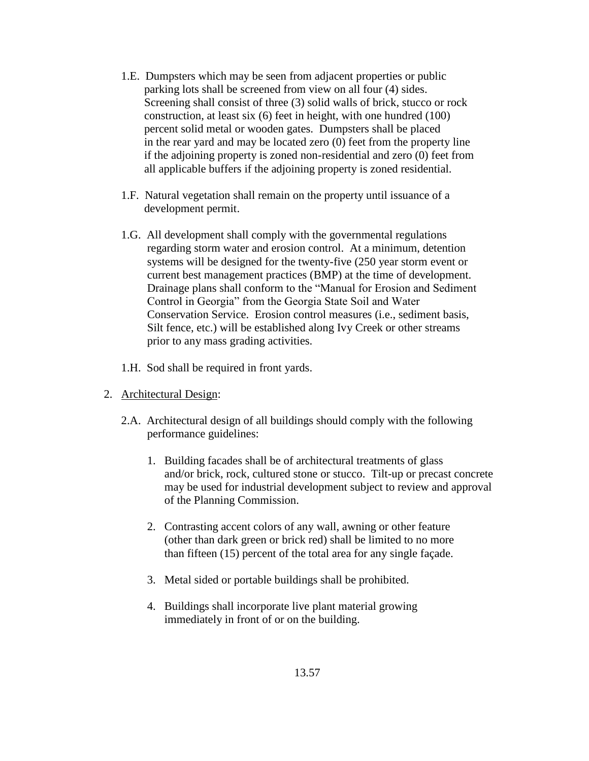- 1.E. Dumpsters which may be seen from adjacent properties or public parking lots shall be screened from view on all four (4) sides. Screening shall consist of three (3) solid walls of brick, stucco or rock construction, at least six (6) feet in height, with one hundred (100) percent solid metal or wooden gates. Dumpsters shall be placed in the rear yard and may be located zero (0) feet from the property line if the adjoining property is zoned non-residential and zero (0) feet from all applicable buffers if the adjoining property is zoned residential.
- 1.F. Natural vegetation shall remain on the property until issuance of a development permit.
- 1.G. All development shall comply with the governmental regulations regarding storm water and erosion control. At a minimum, detention systems will be designed for the twenty-five (250 year storm event or current best management practices (BMP) at the time of development. Drainage plans shall conform to the "Manual for Erosion and Sediment Control in Georgia" from the Georgia State Soil and Water Conservation Service. Erosion control measures (i.e., sediment basis, Silt fence, etc.) will be established along Ivy Creek or other streams prior to any mass grading activities.
- 1.H. Sod shall be required in front yards.
- 2. Architectural Design:
	- 2.A. Architectural design of all buildings should comply with the following performance guidelines:
		- 1. Building facades shall be of architectural treatments of glass and/or brick, rock, cultured stone or stucco. Tilt-up or precast concrete may be used for industrial development subject to review and approval of the Planning Commission.
		- 2. Contrasting accent colors of any wall, awning or other feature (other than dark green or brick red) shall be limited to no more than fifteen (15) percent of the total area for any single façade.
		- 3. Metal sided or portable buildings shall be prohibited.
		- 4. Buildings shall incorporate live plant material growing immediately in front of or on the building.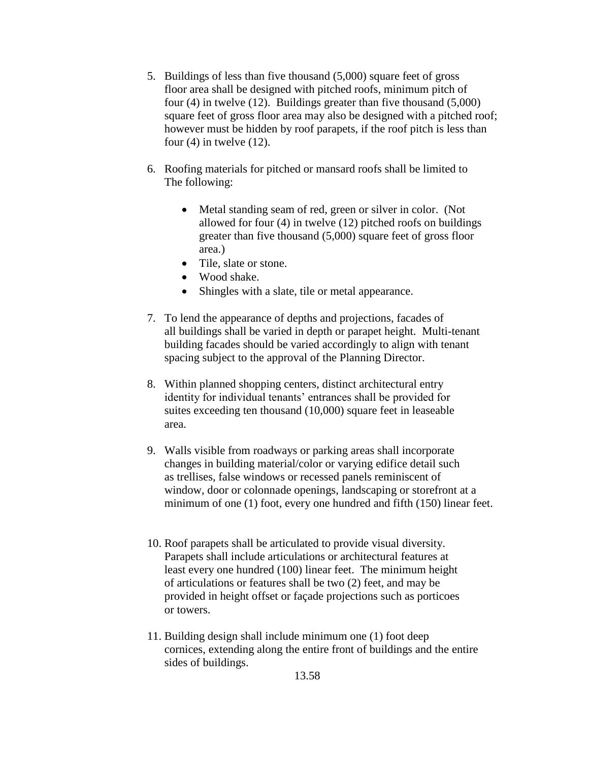- 5. Buildings of less than five thousand (5,000) square feet of gross floor area shall be designed with pitched roofs, minimum pitch of four (4) in twelve (12). Buildings greater than five thousand (5,000) square feet of gross floor area may also be designed with a pitched roof; however must be hidden by roof parapets, if the roof pitch is less than four  $(4)$  in twelve  $(12)$ .
- 6. Roofing materials for pitched or mansard roofs shall be limited to The following:
	- Metal standing seam of red, green or silver in color. (Not allowed for four (4) in twelve (12) pitched roofs on buildings greater than five thousand (5,000) square feet of gross floor area.)
	- Tile, slate or stone.
	- Wood shake.
	- Shingles with a slate, tile or metal appearance.
- 7. To lend the appearance of depths and projections, facades of all buildings shall be varied in depth or parapet height. Multi-tenant building facades should be varied accordingly to align with tenant spacing subject to the approval of the Planning Director.
- 8. Within planned shopping centers, distinct architectural entry identity for individual tenants' entrances shall be provided for suites exceeding ten thousand (10,000) square feet in leaseable area.
- 9. Walls visible from roadways or parking areas shall incorporate changes in building material/color or varying edifice detail such as trellises, false windows or recessed panels reminiscent of window, door or colonnade openings, landscaping or storefront at a minimum of one (1) foot, every one hundred and fifth (150) linear feet.
- 10. Roof parapets shall be articulated to provide visual diversity. Parapets shall include articulations or architectural features at least every one hundred (100) linear feet. The minimum height of articulations or features shall be two (2) feet, and may be provided in height offset or façade projections such as porticoes or towers.
- 11. Building design shall include minimum one (1) foot deep cornices, extending along the entire front of buildings and the entire sides of buildings.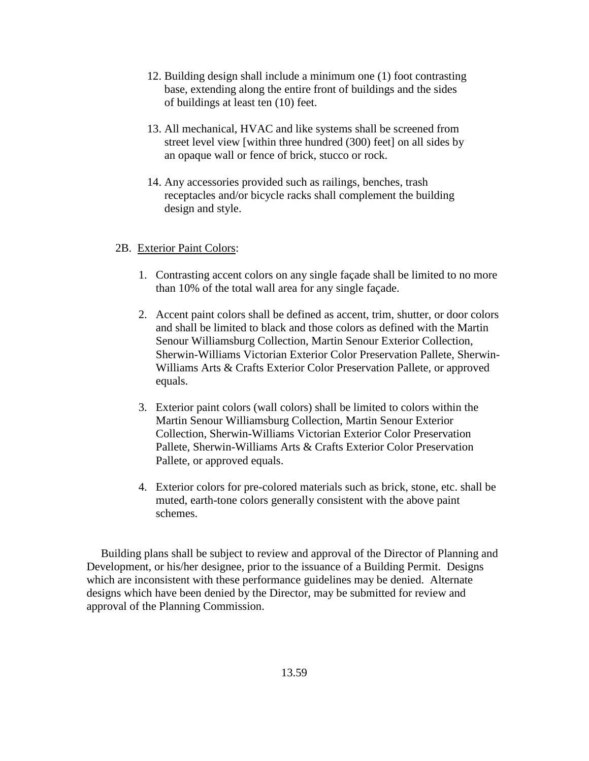- 12. Building design shall include a minimum one (1) foot contrasting base, extending along the entire front of buildings and the sides of buildings at least ten (10) feet.
- 13. All mechanical, HVAC and like systems shall be screened from street level view [within three hundred (300) feet] on all sides by an opaque wall or fence of brick, stucco or rock.
- 14. Any accessories provided such as railings, benches, trash receptacles and/or bicycle racks shall complement the building design and style.

#### 2B. Exterior Paint Colors:

- 1. Contrasting accent colors on any single façade shall be limited to no more than 10% of the total wall area for any single façade.
- 2. Accent paint colors shall be defined as accent, trim, shutter, or door colors and shall be limited to black and those colors as defined with the Martin Senour Williamsburg Collection, Martin Senour Exterior Collection, Sherwin-Williams Victorian Exterior Color Preservation Pallete, Sherwin-Williams Arts & Crafts Exterior Color Preservation Pallete, or approved equals.
- 3. Exterior paint colors (wall colors) shall be limited to colors within the Martin Senour Williamsburg Collection, Martin Senour Exterior Collection, Sherwin-Williams Victorian Exterior Color Preservation Pallete, Sherwin-Williams Arts & Crafts Exterior Color Preservation Pallete, or approved equals.
- 4. Exterior colors for pre-colored materials such as brick, stone, etc. shall be muted, earth-tone colors generally consistent with the above paint schemes.

 Building plans shall be subject to review and approval of the Director of Planning and Development, or his/her designee, prior to the issuance of a Building Permit. Designs which are inconsistent with these performance guidelines may be denied. Alternate designs which have been denied by the Director, may be submitted for review and approval of the Planning Commission.